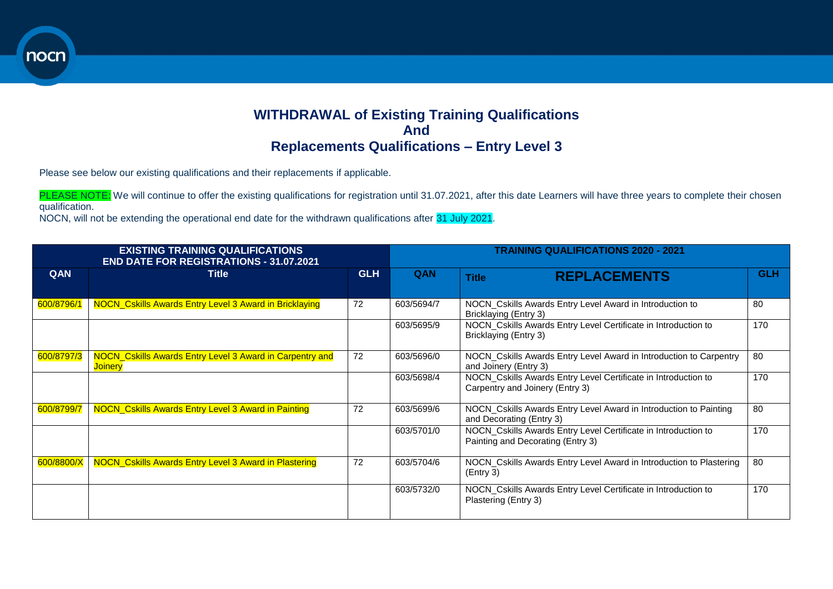## **WITHDRAWAL of Existing Training Qualifications And Replacements Qualifications – Entry Level 3**

**END DATE FOR REGISTRATIONS - 31.07.2021 EXISTING TRAINING QUALIFICATIONS** 

Please see below our existing qualifications and their replacements if applicable.

PLEASE NOTE: We will continue to offer the existing qualifications for registration until 31.07.2021, after this date Learners will have three years to complete their chosen qualification.

NOCN, will not be extending the operational end date for the withdrawn qualifications after 31 July 2021.

| <b>EXISTING TRAINING QUALIFICATIONS</b><br><b>END DATE FOR REGISTRATIONS - 31.07.2021</b> |                                                                            |            | <b>TRAINING QUALIFICATIONS 2020 - 2021</b> |                                                                                                     |            |  |
|-------------------------------------------------------------------------------------------|----------------------------------------------------------------------------|------------|--------------------------------------------|-----------------------------------------------------------------------------------------------------|------------|--|
| QAN                                                                                       | <b>Title</b>                                                               | <b>GLH</b> | QAN                                        | <b>REPLACEMENTS</b><br><b>Title</b>                                                                 | <b>GLH</b> |  |
| 600/8796/1                                                                                | NOCN_Cskills Awards Entry Level 3 Award in Bricklaying                     | 72         | 603/5694/7                                 | NOCN_Cskills Awards Entry Level Award in Introduction to<br>Bricklaying (Entry 3)                   | 80         |  |
|                                                                                           |                                                                            |            | 603/5695/9                                 | NOCN_Cskills Awards Entry Level Certificate in Introduction to<br>Bricklaying (Entry 3)             | 170        |  |
| 600/8797/3                                                                                | NOCN_Cskills Awards Entry Level 3 Award in Carpentry and<br><b>Joinery</b> | 72         | 603/5696/0                                 | NOCN_Cskills Awards Entry Level Award in Introduction to Carpentry<br>and Joinery (Entry 3)         | 80         |  |
|                                                                                           |                                                                            |            | 603/5698/4                                 | NOCN_Cskills Awards Entry Level Certificate in Introduction to<br>Carpentry and Joinery (Entry 3)   | 170        |  |
| 600/8799/7                                                                                | NOCN_Cskills Awards Entry Level 3 Award in Painting                        | 72         | 603/5699/6                                 | NOCN_Cskills Awards Entry Level Award in Introduction to Painting<br>and Decorating (Entry 3)       | 80         |  |
|                                                                                           |                                                                            |            | 603/5701/0                                 | NOCN_Cskills Awards Entry Level Certificate in Introduction to<br>Painting and Decorating (Entry 3) | 170        |  |
| 600/8800/X                                                                                | NOCN_Cskills Awards Entry Level 3 Award in Plastering                      | 72         | 603/5704/6                                 | NOCN_Cskills Awards Entry Level Award in Introduction to Plastering<br>(Entry 3)                    | 80         |  |
|                                                                                           |                                                                            |            | 603/5732/0                                 | NOCN_Cskills Awards Entry Level Certificate in Introduction to<br>Plastering (Entry 3)              | 170        |  |

nocn